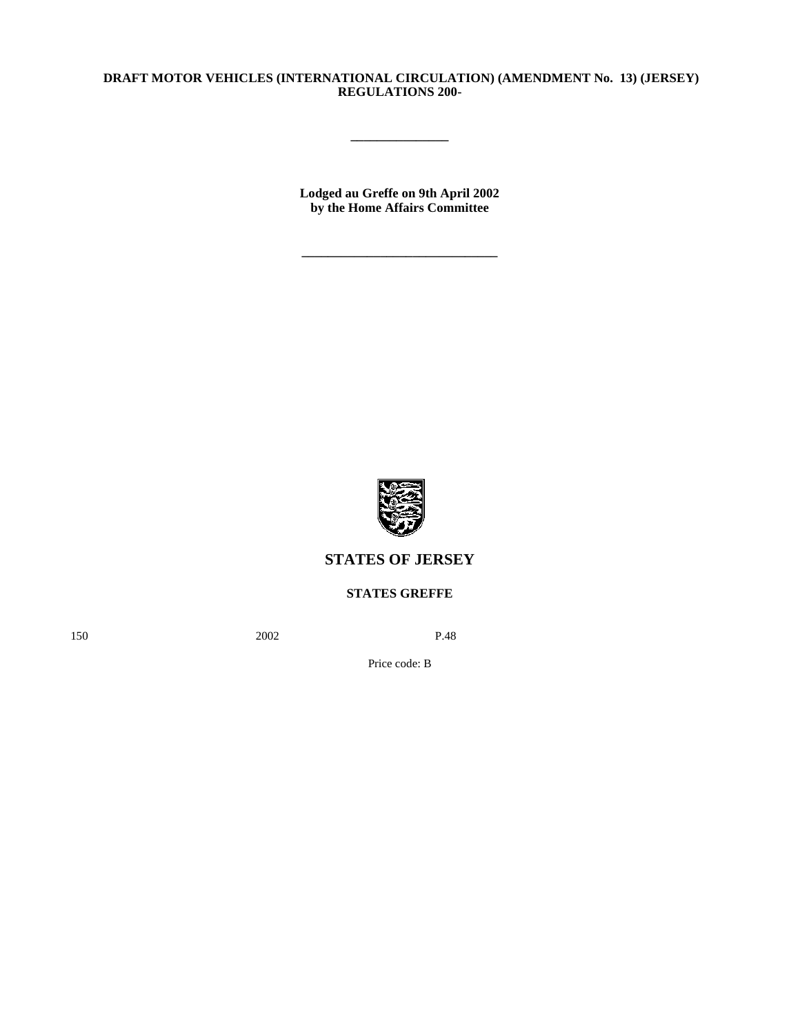## **DRAFT MOTOR VEHICLES (INTERNATIONAL CIRCULATION) (AMENDMENT No. 13) (JERSEY) REGULATIONS 200-**

**\_\_\_\_\_\_\_\_\_\_\_\_\_\_\_**

**Lodged au Greffe on 9th April 2002 by the Home Affairs Committee**

**\_\_\_\_\_\_\_\_\_\_\_\_\_\_\_\_\_\_\_\_\_\_\_\_\_\_\_\_\_\_**



# **STATES OF JERSEY**

# **STATES GREFFE**

150 2002 P.48

Price code: B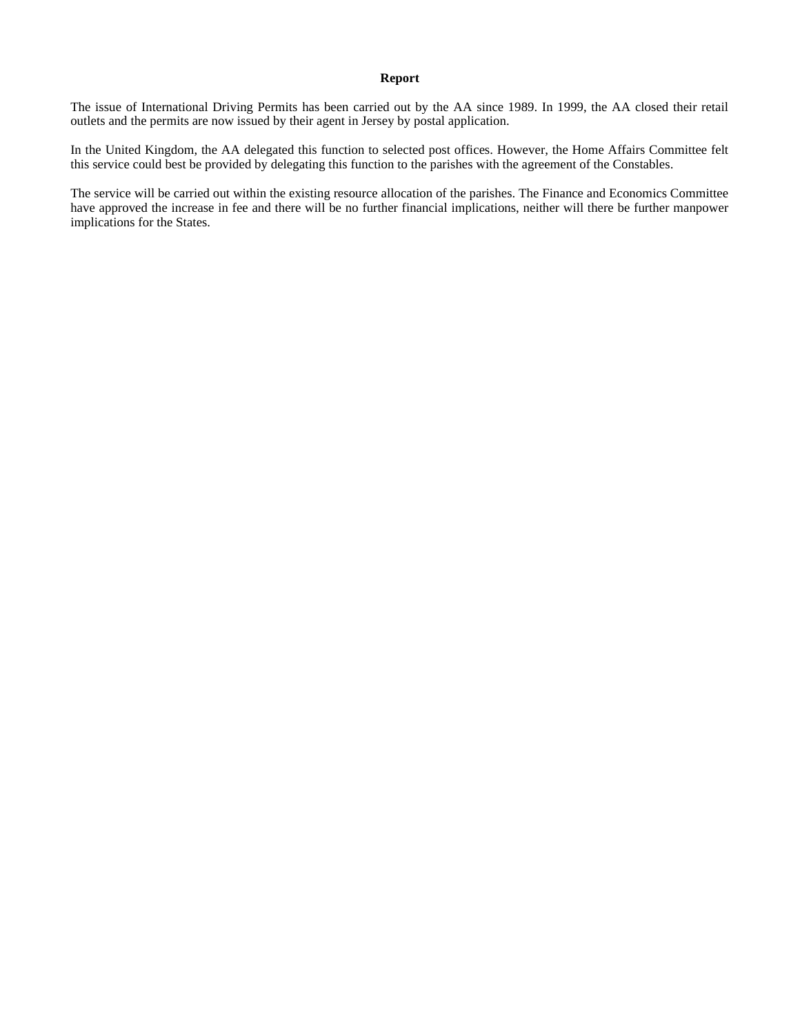#### **Report**

The issue of International Driving Permits has been carried out by the AA since 1989. In 1999, the AA closed their retail outlets and the permits are now issued by their agent in Jersey by postal application.

In the United Kingdom, the AA delegated this function to selected post offices. However, the Home Affairs Committee felt this service could best be provided by delegating this function to the parishes with the agreement of the Constables.

The service will be carried out within the existing resource allocation of the parishes. The Finance and Economics Committee have approved the increase in fee and there will be no further financial implications, neither will there be further manpower implications for the States.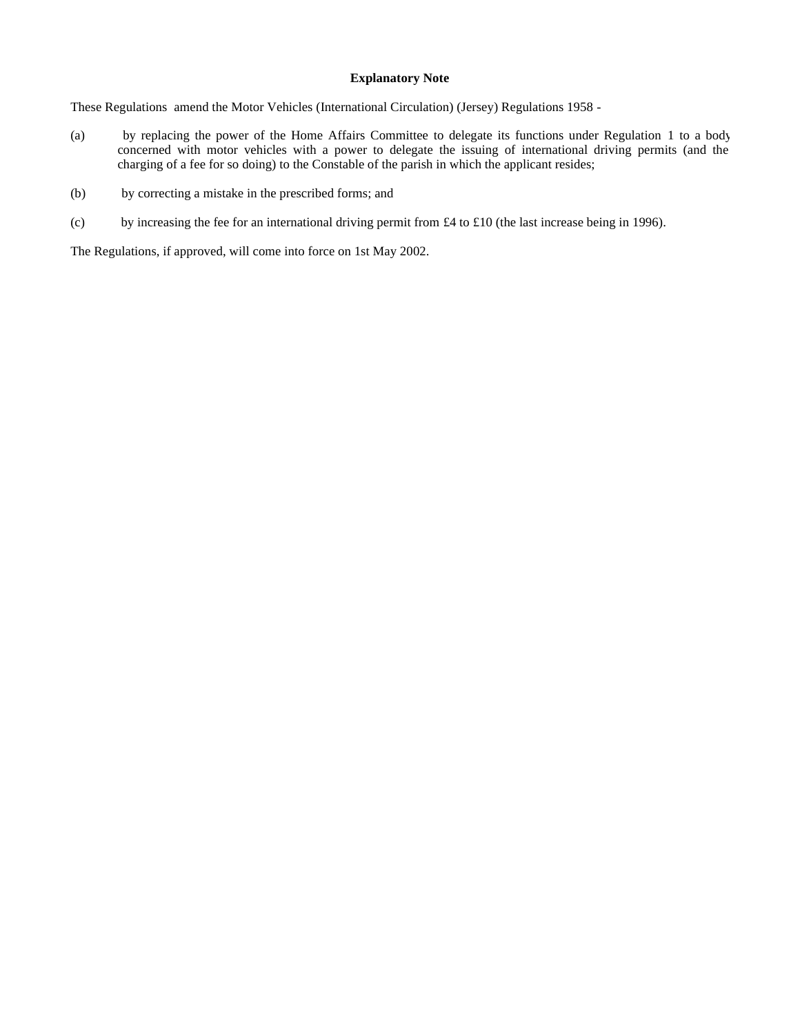### **Explanatory Note**

These Regulations amend the Motor Vehicles (International Circulation) (Jersey) Regulations 1958 -

- (a) by replacing the power of the Home Affairs Committee to delegate its functions under Regulation 1 to a body concerned with motor vehicles with a power to delegate the issuing of international driving permits (and the charging of a fee for so doing) to the Constable of the parish in which the applicant resides;
- (b) by correcting a mistake in the prescribed forms; and
- (c) by increasing the fee for an international driving permit from £4 to £10 (the last increase being in 1996).

The Regulations, if approved, will come into force on 1st May 2002.